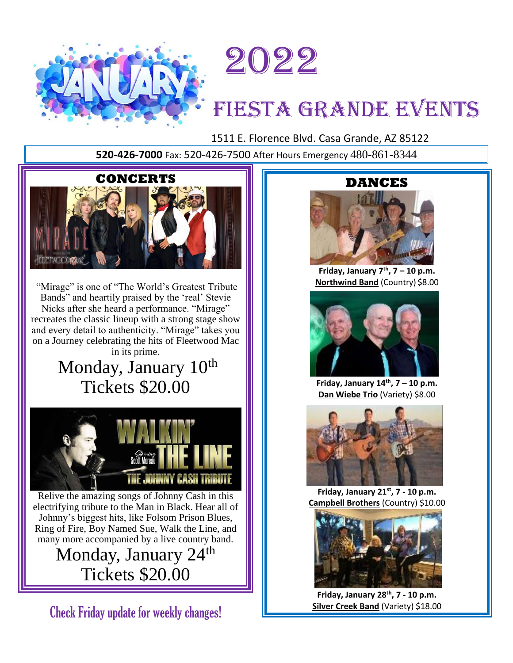



# FIESTA GRANDE EVENTS

1511 E. Florence Blvd. Casa Grande, AZ 85122

**520-426-7000** Fax: 520-426-7500 After Hours Emergency 480-861-8344



"Mirage" is one of "The World's Greatest Tribute Bands" and heartily praised by the 'real' Stevie Nicks after she heard a performance. "Mirage" recreates the classic lineup with a strong stage show and every detail to authenticity. "Mirage" takes you on a Journey celebrating the hits of Fleetwood Mac in its prime.

Monday, January 10<sup>th</sup> Tickets \$20.00



Relive the amazing songs of Johnny Cash in this electrifying tribute to the Man in Black. Hear all of Johnny's biggest hits, like Folsom Prison Blues, Ring of Fire, Boy Named Sue, Walk the Line, and many more accompanied by a live country band.

> Monday, January 24<sup>th</sup> Tickets \$20.00

Check Friday update for weekly changes!

## **DANCES**



**Friday, January 7th , 7 – 10 p.m. Northwind Band** (Country) \$8.00



**Friday, January 14th , 7 – 10 p.m. Dan Wiebe Trio** (Variety) \$8.00



**Friday, January 21st , 7 - 10 p.m. Campbell Brothers** (Country) \$10.00



**Friday, January 28th , 7 - 10 p.m. Silver Creek Band** (Variety) \$18.00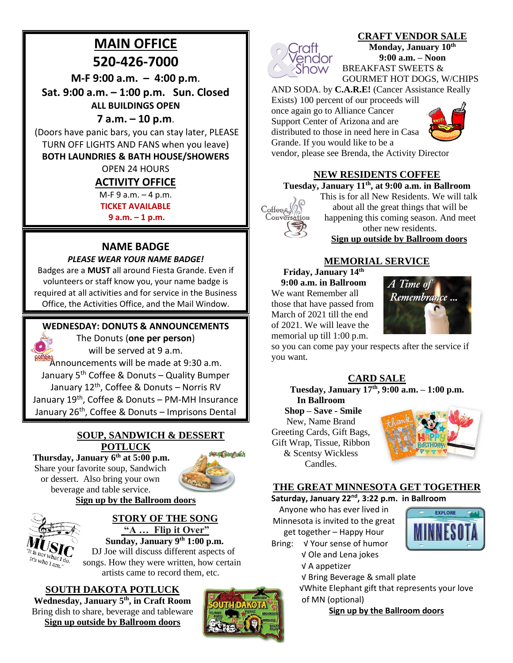# **MAIN OFFICE**

**520-426-7000**

**M-F 9:00 a.m. – 4:00 p.m**.

**Sat. 9:00 a.m. – 1:00 p.m. Sun. Closed ALL BUILDINGS OPEN**

# **7 a.m. – 10 p.m**.

(Doors have panic bars, you can stay later, PLEASE TURN OFF LIGHTS AND FANS when you leave)

## **BOTH LAUNDRIES & BATH HOUSE/SHOWERS**

OPEN 24 HOURS

## **ACTIVITY OFFICE**

M-F 9 a.m. – 4 p.m.

**TICKET AVAILABLE** 

**9 a.m. – 1 p.m.**

## **NAME BADGE**

## *PLEASE WEAR YOUR NAME BADGE!*

Badges are a **MUST** all around Fiesta Grande. Even if volunteers or staff know you, your name badge is required at all activities and for service in the Business Office, the Activities Office, and the Mail Window.

## **WEDNESDAY: DONUTS & ANNOUNCEMENTS**



 $w_{hoI}$ <sub>am.</sub>

The Donuts (**one per person**) will be served at 9 a.m.

**Roffées**<br>Announcements will be made at 9:30 a.m. January 5<sup>th</sup> Coffee & Donuts – Quality Bumper January 12<sup>th</sup>, Coffee & Donuts – Norris RV January 19<sup>th</sup>, Coffee & Donuts – PM-MH Insurance January 26<sup>th</sup>, Coffee & Donuts – Imprisons Dental

## **SOUP, SANDWICH & DESSERT POTLUCK**

**Thursday, January 6th at 5:00 p.m.** Share your favorite soup, Sandwich or dessert. Also bring your own beverage and table service.



## **Sign up by the Ballroom doors**

**STORY OF THE SONG**

**"A … Flip it Over" Sunday, January 9th 1:00 p.m.** DJ Joe will discuss different aspects of songs. How they were written, how certain

artists came to record them, etc.

## **SOUTH DAKOTA POTLUCK**

**Wednesday, January 5th, in Craft Room** Bring dish to share, beverage and tableware **Sign up outside by Ballroom doors**





**CRAFT VENDOR SALE Monday, January 10th 9:00 a.m. – Noon** BREAKFAST SWEETS &

GOURMET HOT DOGS, W/CHIPS AND SODA. by **C.A.R.E!** (Cancer Assistance Really

Exists) 100 percent of our proceeds will

once again go to Alliance Cancer Support Center of Arizona and are distributed to those in need here in Casa Grande. If you would like to be a



vendor, please see Brenda, the Activity Director

# **NEW RESIDENTS COFFEE**

#### **Tuesday, January 11th , at 9:00 a.m. in Ballroom**



This is for all New Residents. We will talk about all the great things that will be happening this coming season. And meet other new residents. **Sign up outside by Ballroom doors**

## **MEMORIAL SERVICE**

**Friday, January 14th 9:00 a.m. in Ballroom**  We want Remember all those that have passed from March of 2021 till the end of 2021. We will leave the memorial up till 1:00 p.m.



so you can come pay your respects after the service if you want.

**CARD SALE**

**Tuesday, January 17th , 9:00 a.m. – 1:00 p.m. In Ballroom**

 **Shop – Save - Smile** New, Name Brand Greeting Cards, Gift Bags, Gift Wrap, Tissue, Ribbon & Scentsy Wickless Candles.



#### **THE GREAT MINNESOTA GET TOGETHER Saturday, January 22nd, 3:22 p.m. in Ballroom**

Anyone who has ever lived in Minnesota is invited to the great get together – Happy Hour



- Bring: √ Your sense of humor √ Ole and Lena jokes
	- √ A appetizer
		- √ Bring Beverage & small plate

√White Elephant gift that represents your love of MN (optional)

**Sign up by the Ballroom doors**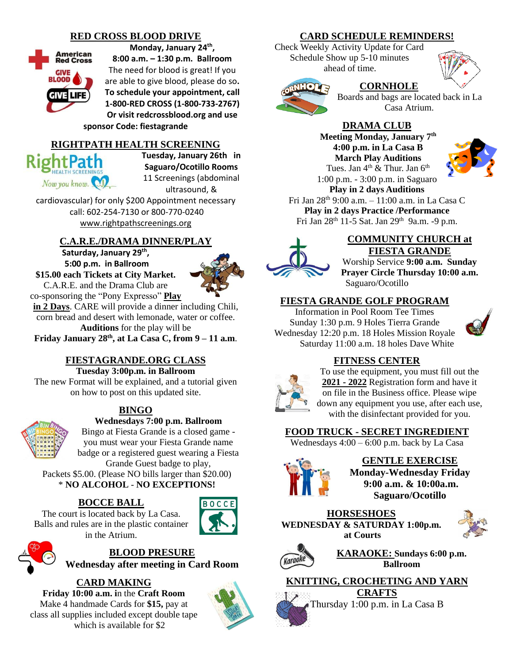## **RED CROSS BLOOD DRIVE**



**Monday, January 24th ,** 

**8:00 a.m. – 1:30 p.m. Ballroom** The need for blood is great! If you are able to give blood, please do so**. To schedule your appointment, call 1-800-RED CROSS (1-800-733-2767) Or visit redcrossblood.org and use** 

#### **sponsor Code: fiestagrande**

#### **RIGHTPATH HEALTH SCREENING**

**RightPath** Now you know. **Tuesday, January 26th in Saguaro/Ocotillo Rooms** 11 Screenings (abdominal ultrasound, &

cardiovascular) for only \$200 Appointment necessary call: 602-254-7130 or 800-770-0240 [www.rightpathscreenings.org](http://www.rightpathscreenings.org/)

## **C.A.R.E./DRAMA DINNER/PLAY**

**Saturday, January 29 th , 5:00 p.m. in Ballroom \$15.00 each Tickets at City Market.** C.A.R.E. and the Drama Club are



co-sponsoring the "Pony Expresso" **Play in 2 Days**. CARE will provide a dinner including Chili, corn bread and desert with lemonade, water or coffee. **Auditions** for the play will be

**Friday January 28th , at La Casa C, from 9 – 11 a.m**.

## **FIESTAGRANDE.ORG CLASS**

**Tuesday 3:00p.m. in Ballroom**  The new Format will be explained, and a tutorial given on how to post on this updated site.

## **BINGO**



# **Wednesdays 7:00 p.m. Ballroom**

Bingo at Fiesta Grande is a closed game you must wear your Fiesta Grande name badge or a registered guest wearing a Fiesta Grande Guest badge to play,

Packets \$5.00. (Please NO bills larger than \$20.00) \* **NO ALCOHOL** - **NO EXCEPTIONS!**

## **BOCCE BALL**

The court is located back by La Casa. Balls and rules are in the plastic container in the Atrium.



**BLOOD PRESURE**

**Wednesday after meeting in Card Room**

**CARD MAKING Friday 10:00 a.m. i**n the **Craft Room** Make 4 handmade Cards for **\$15,** pay at class all supplies included except double tape which is available for \$2



#### **CARD SCHEDULE REMINDERS!**

Check Weekly Activity Update for Card Schedule Show up 5-10 minutes ahead of time.



#### **CORNHOLE**

Boards and bags are located back in La Casa Atrium.

## **DRAMA CLUB**

**Meeting Monday, January 7th 4:00 p.m. in La Casa B March Play Auditions** Tues. Jan 4<sup>th</sup> & Thur. Jan 6<sup>th</sup> 1:00 p.m. - 3:00 p.m. in Saguaro



**Play in 2 days Auditions**  Fri Jan 28th 9:00 a.m. – 11:00 a.m. in La Casa C **Play in 2 days Practice /Performance**  Fri Jan 28<sup>th</sup> 11-5 Sat. Jan 29<sup>th</sup> 9a.m. -9 p.m.



#### **COMMUNITY CHURCH at FIESTA GRANDE**

Worship Service **9:00 a.m. Sunday Prayer Circle Thursday 10:00 a.m.** Saguaro/Ocotillo

#### **FIESTA GRANDE GOLF PROGRAM**

Information in Pool Room Tee Times Sunday 1:30 p.m. 9 Holes Tierra Grande Wednesday 12:20 p.m. 18 Holes Mission Royale Saturday 11:00 a.m. 18 holes Dave White



## **FITNESS CENTER**



To use the equipment, you must fill out the **2021 - 2022** Registration form and have it on file in the Business office. Please wipe down any equipment you use, after each use, with the disinfectant provided for you.

## **FOOD TRUCK - SECRET INGREDIENT**

Wednesdays  $4:00 - 6:00$  p.m. back by La Casa



**GENTLE EXERCISE Monday-Wednesday Friday 9:00 a.m. & 10:00a.m. Saguaro/Ocotillo**

**HORSESHOES WEDNESDAY & SATURDAY 1:00p.m. at Courts**





**KARAOKE: Sundays 6:00 p.m. Ballroom**

# **KNITTING, CROCHETING AND YARN**

**CRAFTS** Thursday 1:00 p.m. in La Casa B